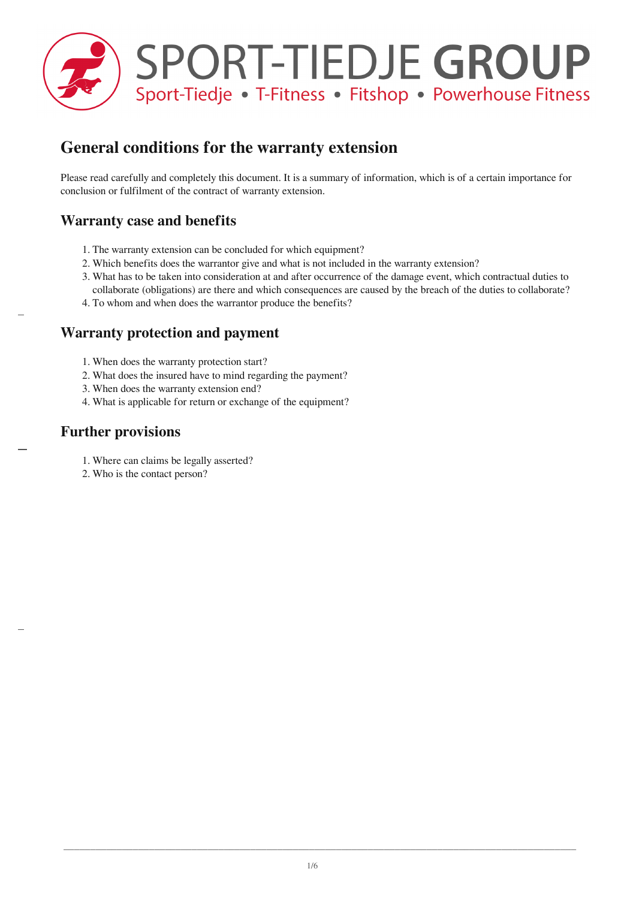

# **General conditions for the warranty extension**

Please read carefully and completely this document. It is a summary of information, which is of a certain importance for conclusion or fulfilment of the contract of warranty extension.

## **Warranty case and benefits**

- 1. The warranty extension can be concluded for which equipment?
- 2. Which benefits does the warrantor give and what is not included in the warranty extension?
- 3. What has to be taken into consideration at and after occurrence of the damage event, which contractual duties to collaborate (obligations) are there and which consequences are caused by the breach of the duties to collaborate?
- 4. To whom and when does the warrantor produce the benefits?

#### **Warranty protection and payment**

- 1. When does the warranty protection start?
- 2. What does the insured have to mind regarding the payment?
- 3. When does the warranty extension end?
- 4. What is applicable for return or exchange of the equipment?

#### **Further provisions**

- 1. Where can claims be legally asserted?
- 2. Who is the contact person?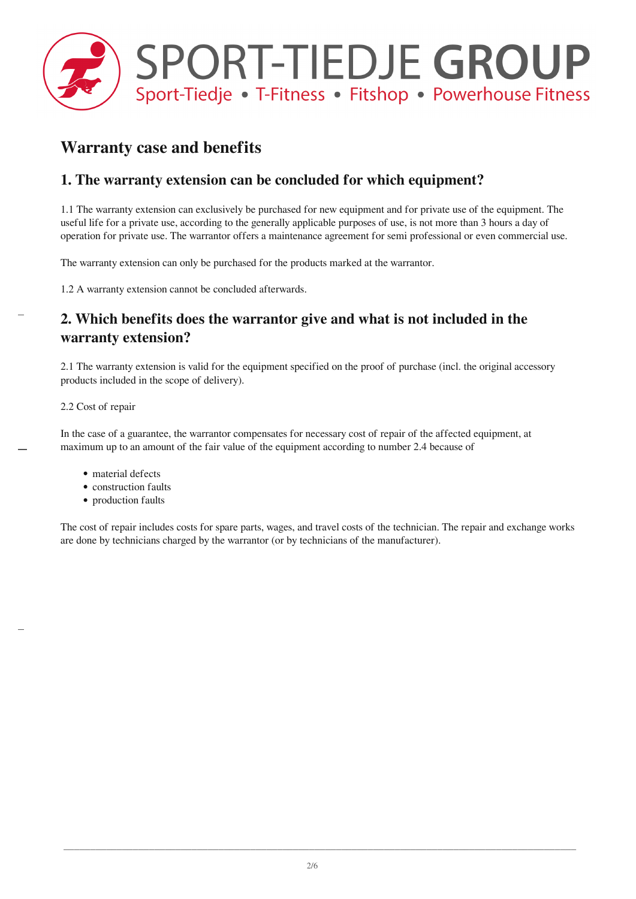

# **Warranty case and benefits**

## **1. The warranty extension can be concluded for which equipment?**

1.1 The warranty extension can exclusively be purchased for new equipment and for private use of the equipment. The useful life for a private use, according to the generally applicable purposes of use, is not more than 3 hours a day of operation for private use. The warrantor offers a maintenance agreement for semi professional or even commercial use.

The warranty extension can only be purchased for the products marked at the warrantor.

1.2 A warranty extension cannot be concluded afterwards.

## **2. Which benefits does the warrantor give and what is not included in the warranty extension?**

2.1 The warranty extension is valid for the equipment specified on the proof of purchase (incl. the original accessory products included in the scope of delivery).

#### 2.2 Cost of repair

In the case of a guarantee, the warrantor compensates for necessary cost of repair of the affected equipment, at maximum up to an amount of the fair value of the equipment according to number 2.4 because of

- material defects
- construction faults
- production faults

The cost of repair includes costs for spare parts, wages, and travel costs of the technician. The repair and exchange works are done by technicians charged by the warrantor (or by technicians of the manufacturer).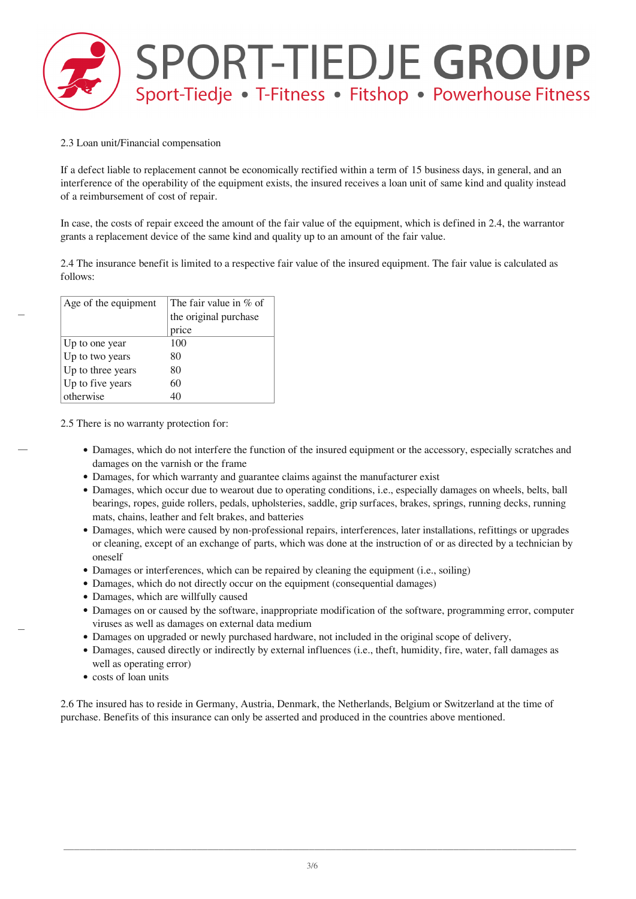

#### 2.3 Loan unit/Financial compensation

If a defect liable to replacement cannot be economically rectified within a term of 15 business days, in general, and an interference of the operability of the equipment exists, the insured receives a loan unit of same kind and quality instead of a reimbursement of cost of repair.

In case, the costs of repair exceed the amount of the fair value of the equipment, which is defined in 2.4, the warrantor grants a replacement device of the same kind and quality up to an amount of the fair value.

2.4 The insurance benefit is limited to a respective fair value of the insured equipment. The fair value is calculated as follows:

| Age of the equipment | The fair value in $%$ of |
|----------------------|--------------------------|
|                      | the original purchase    |
|                      | price                    |
| Up to one year       | 100                      |
| Up to two years      | 80                       |
| Up to three years    | 80                       |
| Up to five years     | 60                       |
| otherwise            |                          |

2.5 There is no warranty protection for:

- Damages, which do not interfere the function of the insured equipment or the accessory, especially scratches and damages on the varnish or the frame
- Damages, for which warranty and guarantee claims against the manufacturer exist
- Damages, which occur due to wearout due to operating conditions, i.e., especially damages on wheels, belts, ball bearings, ropes, guide rollers, pedals, upholsteries, saddle, grip surfaces, brakes, springs, running decks, running mats, chains, leather and felt brakes, and batteries
- Damages, which were caused by non-professional repairs, interferences, later installations, refittings or upgrades or cleaning, except of an exchange of parts, which was done at the instruction of or as directed by a technician by oneself
- Damages or interferences, which can be repaired by cleaning the equipment (i.e., soiling)
- Damages, which do not directly occur on the equipment (consequential damages)
- Damages, which are willfully caused
- Damages on or caused by the software, inappropriate modification of the software, programming error, computer viruses as well as damages on external data medium
- Damages on upgraded or newly purchased hardware, not included in the original scope of delivery,
- Damages, caused directly or indirectly by external influences (i.e., theft, humidity, fire, water, fall damages as well as operating error)
- costs of loan units

2.6 The insured has to reside in Germany, Austria, Denmark, the Netherlands, Belgium or Switzerland at the time of purchase. Benefits of this insurance can only be asserted and produced in the countries above mentioned.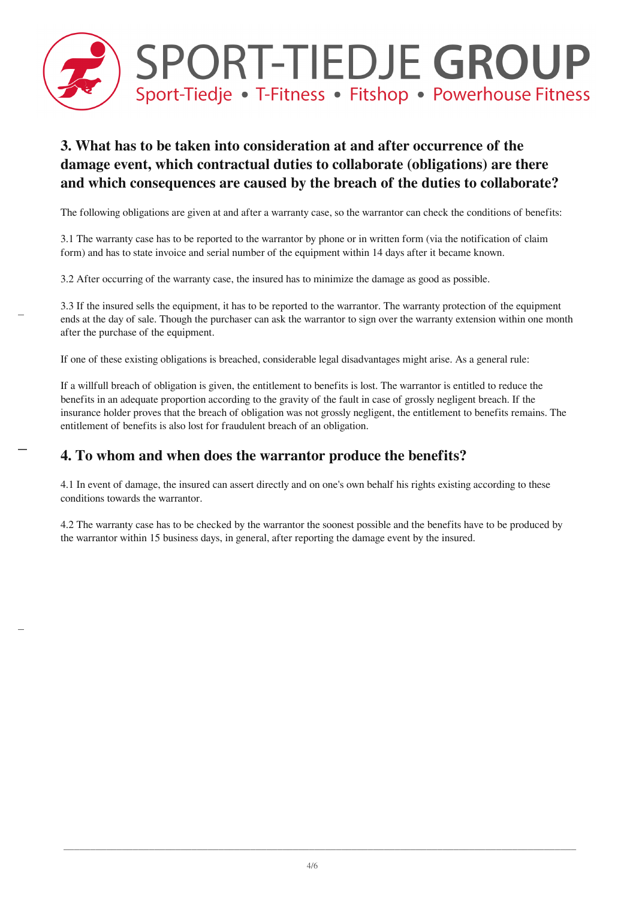

## **3. What has to be taken into consideration at and after occurrence of the damage event, which contractual duties to collaborate (obligations) are there and which consequences are caused by the breach of the duties to collaborate?**

The following obligations are given at and after a warranty case, so the warrantor can check the conditions of benefits:

3.1 The warranty case has to be reported to the warrantor by phone or in written form (via the notification of claim form) and has to state invoice and serial number of the equipment within 14 days after it became known.

3.2 After occurring of the warranty case, the insured has to minimize the damage as good as possible.

3.3 If the insured sells the equipment, it has to be reported to the warrantor. The warranty protection of the equipment ends at the day of sale. Though the purchaser can ask the warrantor to sign over the warranty extension within one month after the purchase of the equipment.

If one of these existing obligations is breached, considerable legal disadvantages might arise. As a general rule:

If a willfull breach of obligation is given, the entitlement to benefits is lost. The warrantor is entitled to reduce the benefits in an adequate proportion according to the gravity of the fault in case of grossly negligent breach. If the insurance holder proves that the breach of obligation was not grossly negligent, the entitlement to benefits remains. The entitlement of benefits is also lost for fraudulent breach of an obligation.

#### **4. To whom and when does the warrantor produce the benefits?**

4.1 In event of damage, the insured can assert directly and on one's own behalf his rights existing according to these conditions towards the warrantor.

4.2 The warranty case has to be checked by the warrantor the soonest possible and the benefits have to be produced by the warrantor within 15 business days, in general, after reporting the damage event by the insured.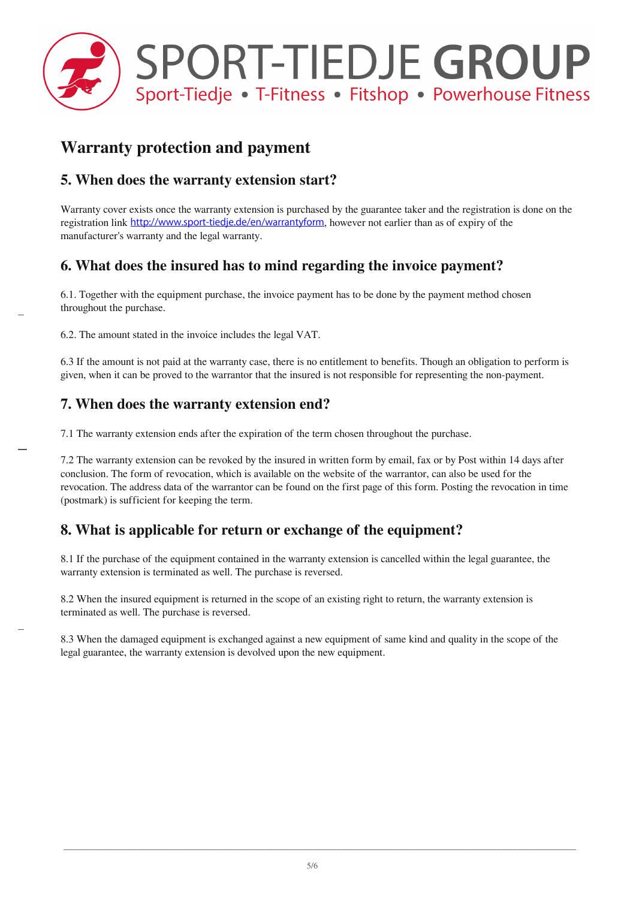

# **Warranty protection and payment**

## **5. When does the warranty extension start?**

Warranty cover exists once the warranty extension is purchased by the guarantee taker and the registration is done on the registration link <http://www.sport-tiedje.de/en/warrantyform>, however not earlier than as of expiry of the manufacturer's warranty and the legal warranty.

## **6. What does the insured has to mind regarding the invoice payment?**

6.1. Together with the equipment purchase, the invoice payment has to be done by the payment method chosen throughout the purchase.

6.2. The amount stated in the invoice includes the legal VAT.

6.3 If the amount is not paid at the warranty case, there is no entitlement to benefits. Though an obligation to perform is given, when it can be proved to the warrantor that the insured is not responsible for representing the non-payment.

### **7. When does the warranty extension end?**

7.1 The warranty extension ends after the expiration of the term chosen throughout the purchase.

7.2 The warranty extension can be revoked by the insured in written form by email, fax or by Post within 14 days after conclusion. The form of revocation, which is available on the website of the warrantor, can also be used for the revocation. The address data of the warrantor can be found on the first page of this form. Posting the revocation in time (postmark) is sufficient for keeping the term.

## **8. What is applicable for return or exchange of the equipment?**

8.1 If the purchase of the equipment contained in the warranty extension is cancelled within the legal guarantee, the warranty extension is terminated as well. The purchase is reversed.

8.2 When the insured equipment is returned in the scope of an existing right to return, the warranty extension is terminated as well. The purchase is reversed.

8.3 When the damaged equipment is exchanged against a new equipment of same kind and quality in the scope of the legal guarantee, the warranty extension is devolved upon the new equipment.